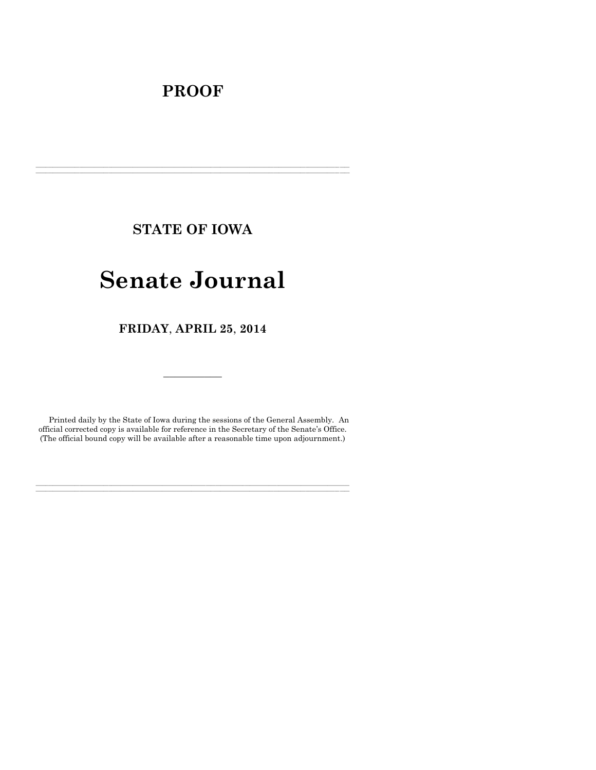# **PROOF**

**STATE OF IOWA**

**\_\_\_\_\_\_\_\_\_\_\_\_\_\_\_\_\_\_\_\_\_\_\_\_\_\_\_\_\_\_\_\_\_\_\_\_\_\_\_\_\_\_\_\_\_\_\_\_\_\_\_\_\_\_\_\_\_\_\_\_\_\_\_\_\_\_\_\_\_\_\_\_\_\_\_\_\_\_\_\_\_\_\_\_\_\_\_\_\_\_\_\_\_\_\_\_\_\_\_\_\_\_\_\_\_\_\_\_\_\_\_\_\_\_\_\_\_\_\_\_\_\_\_\_\_\_\_\_\_ \_\_\_\_\_\_\_\_\_\_\_\_\_\_\_\_\_\_\_\_\_\_\_\_\_\_\_\_\_\_\_\_\_\_\_\_\_\_\_\_\_\_\_\_\_\_\_\_\_\_\_\_\_\_\_\_\_\_\_\_\_\_\_\_\_\_\_\_\_\_\_\_\_\_\_\_\_\_\_\_\_\_\_\_\_\_\_\_\_\_\_\_\_\_\_\_\_\_\_\_\_\_\_\_\_\_\_\_\_\_\_\_\_\_\_\_\_\_\_\_\_\_\_\_\_\_\_\_\_**

# **Senate Journal**

**FRIDAY**, **APRIL 25**, **2014**

Printed daily by the State of Iowa during the sessions of the General Assembly. An official corrected copy is available for reference in the Secretary of the Senate's Office. (The official bound copy will be available after a reasonable time upon adjournment.)

**\_\_\_\_\_\_\_\_\_\_\_\_\_\_\_\_\_\_\_\_\_\_\_\_\_\_\_\_\_\_\_\_\_\_\_\_\_\_\_\_\_\_\_\_\_\_\_\_\_\_\_\_\_\_\_\_\_\_\_\_\_\_\_\_\_\_\_\_\_\_\_\_\_\_\_\_\_\_\_\_\_\_\_\_\_\_\_\_\_\_\_\_\_\_\_\_\_\_\_\_\_\_\_\_\_\_\_\_\_\_\_\_\_\_\_\_\_\_\_\_\_\_\_\_\_\_\_\_\_ \_\_\_\_\_\_\_\_\_\_\_\_\_\_\_\_\_\_\_\_\_\_\_\_\_\_\_\_\_\_\_\_\_\_\_\_\_\_\_\_\_\_\_\_\_\_\_\_\_\_\_\_\_\_\_\_\_\_\_\_\_\_\_\_\_\_\_\_\_\_\_\_\_\_\_\_\_\_\_\_\_\_\_\_\_\_\_\_\_\_\_\_\_\_\_\_\_\_\_\_\_\_\_\_\_\_\_\_\_\_\_\_\_\_\_\_\_\_\_\_\_\_\_\_\_\_\_\_\_**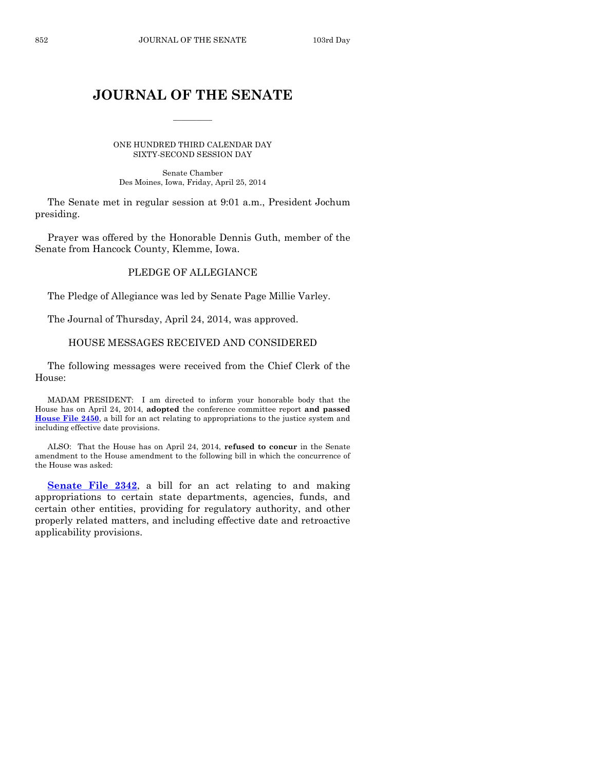# **JOURNAL OF THE SENATE**

 $\frac{1}{2}$ 

ONE HUNDRED THIRD CALENDAR DAY SIXTY-SECOND SESSION DAY

Senate Chamber Des Moines, Iowa, Friday, April 25, 2014

The Senate met in regular session at 9:01 a.m., President Jochum presiding.

Prayer was offered by the Honorable Dennis Guth, member of the Senate from Hancock County, Klemme, Iowa.

# PLEDGE OF ALLEGIANCE

The Pledge of Allegiance was led by Senate Page Millie Varley.

The Journal of Thursday, April 24, 2014, was approved.

# HOUSE MESSAGES RECEIVED AND CONSIDERED

The following messages were received from the Chief Clerk of the House:

MADAM PRESIDENT: I am directed to inform your honorable body that the House has on April 24, 2014, **adopted** the conference committee report **and passed [House File 2450](http://coolice.legis.iowa.gov/Cool-ICE/default.asp?Category=billinfo&Service=Billbook&frame=1&GA=85&hbill=HF2450)**, a bill for an act relating to appropriations to the justice system and including effective date provisions.

ALSO: That the House has on April 24, 2014, **refused to concur** in the Senate amendment to the House amendment to the following bill in which the concurrence of the House was asked:

**[Senate File 2342](http://coolice.legis.iowa.gov/Cool-ICE/default.asp?Category=billinfo&Service=Billbook&frame=1&GA=85&hbill=SF2342)**, a bill for an act relating to and making appropriations to certain state departments, agencies, funds, and certain other entities, providing for regulatory authority, and other properly related matters, and including effective date and retroactive applicability provisions.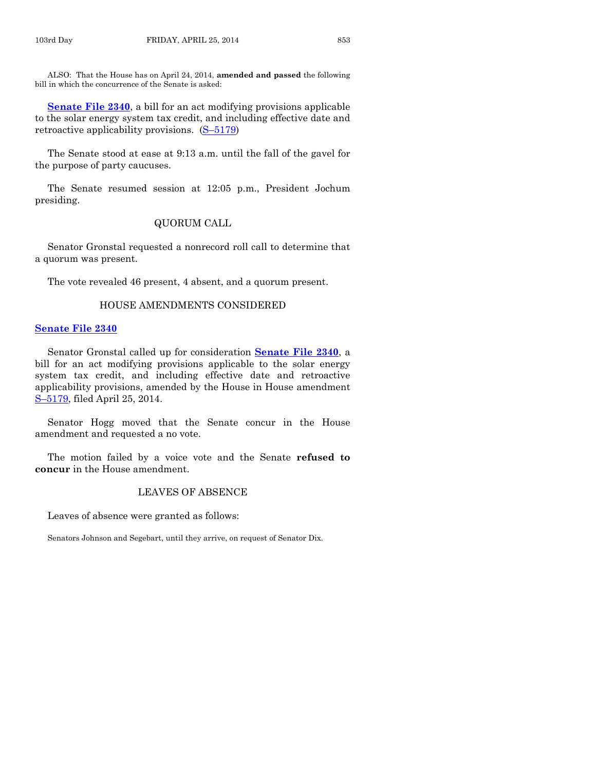ALSO: That the House has on April 24, 2014, **amended and passed** the following bill in which the concurrence of the Senate is asked:

**[Senate File 2340](http://coolice.legis.iowa.gov/Cool-ICE/default.asp?Category=billinfo&Service=Billbook&frame=1&GA=85&hbill=SF2340)**, a bill for an act modifying provisions applicable to the solar energy system tax credit, and including effective date and retroactive applicability provisions. (S–[5179\)](http://coolice.legis.iowa.gov/Cool-ICE/default.asp?Category=billinfo&Service=Billbook&frame=1&GA=85&hbill=S5179)

The Senate stood at ease at 9:13 a.m. until the fall of the gavel for the purpose of party caucuses.

The Senate resumed session at 12:05 p.m., President Jochum presiding.

# QUORUM CALL

Senator Gronstal requested a nonrecord roll call to determine that a quorum was present.

The vote revealed 46 present, 4 absent, and a quorum present.

### HOUSE AMENDMENTS CONSIDERED

#### **[Senate File 2340](http://coolice.legis.iowa.gov/Cool-ICE/default.asp?Category=billinfo&Service=Billbook&frame=1&GA=85&hbill=SF2340)**

Senator Gronstal called up for consideration **[Senate File 2340](http://coolice.legis.iowa.gov/Cool-ICE/default.asp?Category=billinfo&Service=Billbook&frame=1&GA=85&hbill=SF2340)**, a bill for an act modifying provisions applicable to the solar energy system tax credit, and including effective date and retroactive applicability provisions, amended by the House in House amendment S-[5179,](http://coolice.legis.iowa.gov/Cool-ICE/default.asp?Category=billinfo&Service=Billbook&frame=1&GA=85&hbill=S5179) filed April 25, 2014.

Senator Hogg moved that the Senate concur in the House amendment and requested a no vote.

The motion failed by a voice vote and the Senate **refused to concur** in the House amendment.

# LEAVES OF ABSENCE

Leaves of absence were granted as follows:

Senators Johnson and Segebart, until they arrive, on request of Senator Dix.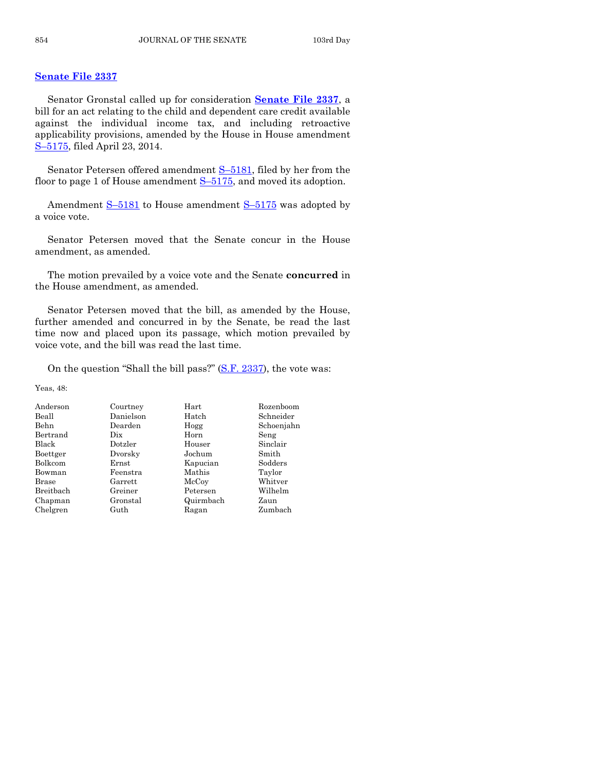# **[Senate File 2337](http://coolice.legis.iowa.gov/Cool-ICE/default.asp?Category=billinfo&Service=Billbook&frame=1&GA=85&hbill=SF2337)**

Senator Gronstal called up for consideration **[Senate File 2337](http://coolice.legis.iowa.gov/Cool-ICE/default.asp?Category=billinfo&Service=Billbook&frame=1&GA=85&hbill=SF2337)**, a bill for an act relating to the child and dependent care credit available against the individual income tax, and including retroactive applicability provisions, amended by the House in House amendment S–[5175,](http://coolice.legis.iowa.gov/Cool-ICE/default.asp?Category=billinfo&Service=Billbook&frame=1&GA=85&hbill=S5175) filed April 23, 2014.

Senator Petersen offered amendment S-[5181,](http://coolice.legis.iowa.gov/Cool-ICE/default.asp?Category=billinfo&Service=Billbook&frame=1&GA=85&hbill=S5181) filed by her from the floor to page 1 of House amendment  $S-5175$ , and moved its adoption.

Amendment S–[5181](http://coolice.legis.iowa.gov/Cool-ICE/default.asp?Category=billinfo&Service=Billbook&frame=1&GA=85&hbill=S5181) to House amendment S–[5175](http://coolice.legis.iowa.gov/Cool-ICE/default.asp?Category=billinfo&Service=Billbook&frame=1&GA=85&hbill=S5175) was adopted by a voice vote.

Senator Petersen moved that the Senate concur in the House amendment, as amended.

The motion prevailed by a voice vote and the Senate **concurred** in the House amendment, as amended.

Senator Petersen moved that the bill, as amended by the House, further amended and concurred in by the Senate, be read the last time now and placed upon its passage, which motion prevailed by voice vote, and the bill was read the last time.

On the question "Shall the bill pass?" [\(S.F. 2337\)](http://coolice.legis.iowa.gov/Cool-ICE/default.asp?Category=billinfo&Service=Billbook&frame=1&GA=85&hbill=SF2337), the vote was:

Yeas, 48:

| Anderson     | Courtney    | $\rm Hart$ | Rozenboom  |
|--------------|-------------|------------|------------|
| Beall        | Danielson   | Hatch      | Schneider  |
| Behn         | Dearden     | Hogg       | Schoenjahn |
| Bertrand     | Dix         | Horn       | Seng       |
| Black        | Dotzler     | Houser     | Sinclair   |
| Boettger     | Dvorsky     | Jochum     | Smith      |
| Bolkcom      | $\rm Ernst$ | Kapucian   | Sodders    |
| Bowman       | Feenstra    | Mathis     | Taylor     |
| <b>Brase</b> | Garrett     | McCoy      | Whitver    |
| Breitbach    | Greiner     | Petersen   | Wilhelm    |
| Chapman      | Gronstal    | Quirmbach  | Zaun       |
| Chelgren     | Guth        | Ragan      | Zumbach    |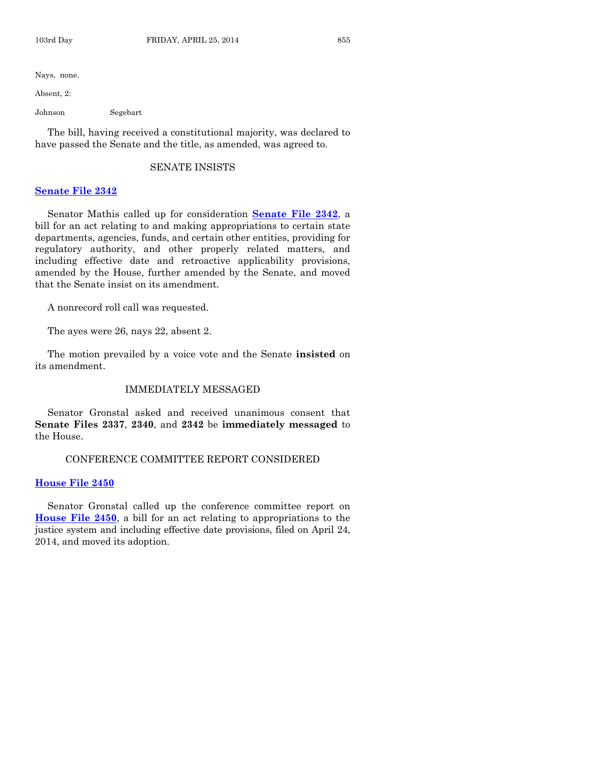Nays, none.

Absent, 2:

Johnson Segebart

The bill, having received a constitutional majority, was declared to have passed the Senate and the title, as amended, was agreed to.

#### SENATE INSISTS

### **[Senate File 2342](http://coolice.legis.iowa.gov/Cool-ICE/default.asp?Category=billinfo&Service=Billbook&frame=1&GA=85&hbill=SF2342)**

Senator Mathis called up for consideration **[Senate File 2342](http://coolice.legis.iowa.gov/Cool-ICE/default.asp?Category=billinfo&Service=Billbook&frame=1&GA=85&hbill=SF2342)**, a bill for an act relating to and making appropriations to certain state departments, agencies, funds, and certain other entities, providing for regulatory authority, and other properly related matters, and including effective date and retroactive applicability provisions, amended by the House, further amended by the Senate, and moved that the Senate insist on its amendment.

A nonrecord roll call was requested.

The ayes were 26, nays 22, absent 2.

The motion prevailed by a voice vote and the Senate **insisted** on its amendment.

### IMMEDIATELY MESSAGED

Senator Gronstal asked and received unanimous consent that **Senate Files 2337**, **2340**, and **2342** be **immediately messaged** to the House.

#### CONFERENCE COMMITTEE REPORT CONSIDERED

#### **[House File 2450](http://coolice.legis.iowa.gov/Cool-ICE/default.asp?Category=billinfo&Service=Billbook&frame=1&GA=85&hbill=HF2450)**

Senator Gronstal called up the conference committee report on **[House File 2450](http://coolice.legis.iowa.gov/Cool-ICE/default.asp?Category=billinfo&Service=Billbook&frame=1&GA=85&hbill=HF2450)**, a bill for an act relating to appropriations to the justice system and including effective date provisions, filed on April 24, 2014, and moved its adoption.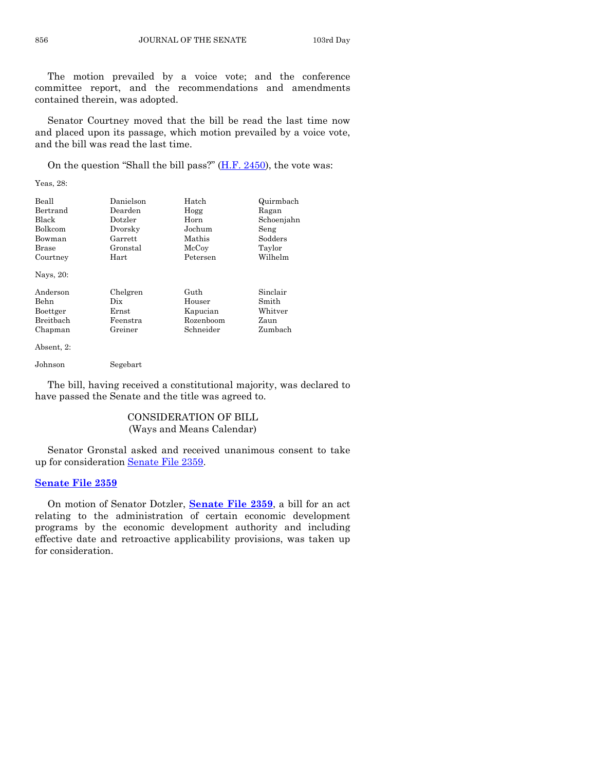The motion prevailed by a voice vote; and the conference committee report, and the recommendations and amendments contained therein, was adopted.

Senator Courtney moved that the bill be read the last time now and placed upon its passage, which motion prevailed by a voice vote, and the bill was read the last time.

On the question "Shall the bill pass?"  $(H.F. 2450)$ , the vote was:

Yeas, 28:

| Beall            | Danielson  | Hatch     | Quirmbach  |
|------------------|------------|-----------|------------|
| Bertrand         | Dearden    | Hogg      | Ragan      |
| Black            | Dotzler    | Horn      | Schoenjahn |
| Bolkcom          | Dvorsky    | Jochum    | Seng       |
| Bowman           | Garrett    | Mathis    | Sodders    |
| Brase            | Gronstal   | McCoy     | Taylor     |
| Courtney         | $\rm Hart$ | Petersen  | Wilhelm    |
| Nays, 20:        |            |           |            |
| Anderson         | Chelgren   | Guth      | Sinclair   |
| Behn             | Dix        | Houser    | Smith      |
| Boettger         | Ernst      | Kapucian  | Whitver    |
| <b>Breithach</b> | Feenstra   | Rozenboom | Zaun       |
| Chapman          | Greiner    | Schneider | Zumbach    |
| Absent, 2:       |            |           |            |
| Johnson          | Segebart   |           |            |

The bill, having received a constitutional majority, was declared to have passed the Senate and the title was agreed to.

# CONSIDERATION OF BILL (Ways and Means Calendar)

Senator Gronstal asked and received unanimous consent to take up for consideration [Senate File 2359.](http://coolice.legis.iowa.gov/Cool-ICE/default.asp?Category=billinfo&Service=Billbook&frame=1&GA=85&hbill=SF2359)

# **[Senate File 2359](http://coolice.legis.iowa.gov/Cool-ICE/default.asp?Category=billinfo&Service=Billbook&frame=1&GA=85&hbill=SF2359)**

On motion of Senator Dotzler, **[Senate File 2359](http://coolice.legis.iowa.gov/Cool-ICE/default.asp?Category=billinfo&Service=Billbook&frame=1&GA=85&hbill=SF2359)**, a bill for an act relating to the administration of certain economic development programs by the economic development authority and including effective date and retroactive applicability provisions, was taken up for consideration.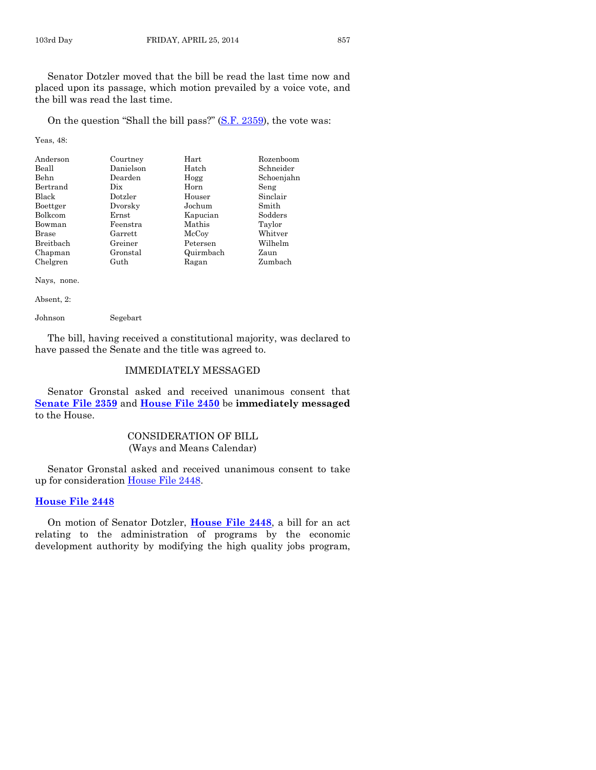On the question "Shall the bill pass?" [\(S.F. 2359\)](http://coolice.legis.iowa.gov/Cool-ICE/default.asp?Category=billinfo&Service=Billbook&frame=1&GA=85&hbill=SF2359), the vote was:

Yeas, 48:

| Anderson     | Courtney  | Hart      | Rozenboom  |
|--------------|-----------|-----------|------------|
| Beall        | Danielson | Hatch     | Schneider  |
| <b>Behn</b>  | Dearden   | Hogg      | Schoenjahn |
| Bertrand     | Dix       | Horn      | Seng       |
| Black        | Dotzler   | Houser    | Sinclair   |
| Boettger     | Dvorsky   | Jochum    | Smith      |
| Bolkcom      | Ernst     | Kapucian  | Sodders    |
| Bowman       | Feenstra  | Mathis    | Taylor     |
| <b>Brase</b> | Garrett   | McCoy     | Whitver    |
| Breitbach    | Greiner   | Petersen  | Wilhelm    |
| Chapman      | Gronstal  | Quirmbach | Zaun       |
| Chelgren     | Guth      | Ragan     | Zumbach    |

Nays, none.

Absent, 2:

Johnson Segebart

The bill, having received a constitutional majority, was declared to have passed the Senate and the title was agreed to.

# IMMEDIATELY MESSAGED

Senator Gronstal asked and received unanimous consent that **[Senate File 2359](http://coolice.legis.iowa.gov/Cool-ICE/default.asp?Category=billinfo&Service=Billbook&frame=1&GA=85&hbill=SF2359)** and **[House File 2450](http://coolice.legis.iowa.gov/Cool-ICE/default.asp?Category=billinfo&Service=Billbook&frame=1&GA=85&hbill=HF2450)** be **immediately messaged** to the House.

# CONSIDERATION OF BILL (Ways and Means Calendar)

Senator Gronstal asked and received unanimous consent to take up for consideration [House File 2448.](http://coolice.legis.iowa.gov/Cool-ICE/default.asp?Category=billinfo&Service=Billbook&frame=1&GA=85&hbill=HF2448)

# **[House File 2448](http://coolice.legis.iowa.gov/Cool-ICE/default.asp?Category=billinfo&Service=Billbook&frame=1&GA=85&hbill=HF2448)**

On motion of Senator Dotzler, **[House File 2448](http://coolice.legis.iowa.gov/Cool-ICE/default.asp?Category=billinfo&Service=Billbook&frame=1&GA=85&hbill=HF2448)**, a bill for an act relating to the administration of programs by the economic development authority by modifying the high quality jobs program,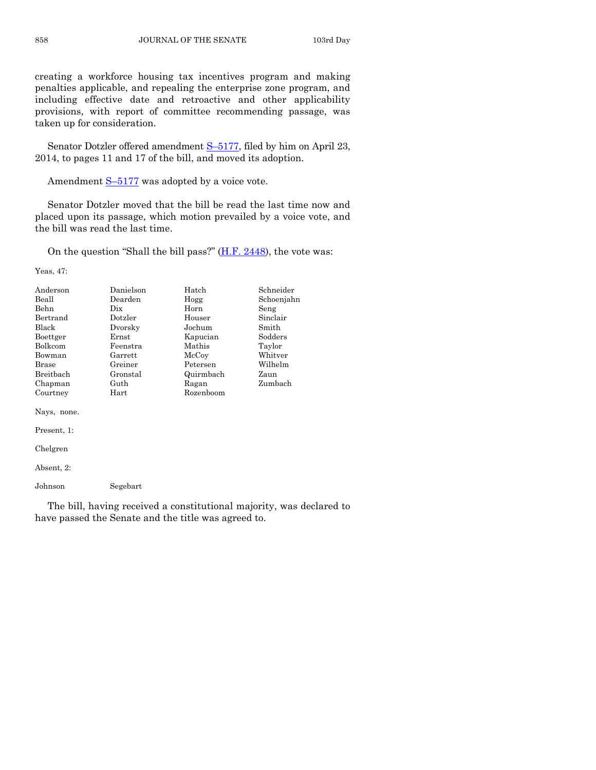creating a workforce housing tax incentives program and making penalties applicable, and repealing the enterprise zone program, and including effective date and retroactive and other applicability provisions, with report of committee recommending passage, was taken up for consideration.

Senator Dotzler offered amendment S–[5177,](http://coolice.legis.iowa.gov/Cool-ICE/default.asp?Category=billinfo&Service=Billbook&frame=1&GA=85&hbill=S5177) filed by him on April 23, 2014, to pages 11 and 17 of the bill, and moved its adoption.

Amendment S-[5177](http://coolice.legis.iowa.gov/Cool-ICE/default.asp?Category=billinfo&Service=Billbook&frame=1&GA=85&hbill=S5177) was adopted by a voice vote.

Senator Dotzler moved that the bill be read the last time now and placed upon its passage, which motion prevailed by a voice vote, and the bill was read the last time.

On the question "Shall the bill pass?"  $(H.F. 2448)$ , the vote was:

Yeas, 47:

| Anderson     | Danielson  | Hatch     | Schneider  |
|--------------|------------|-----------|------------|
| Beall        | Dearden    | Hogg      | Schoenjahn |
| <b>Behn</b>  | Dix.       | Horn      | Seng       |
| Bertrand     | Dotzler    | Houser    | Sinclair   |
| Black        | Dvorsky    | Jochum    | Smith      |
| Boettger     | Ernst      | Kapucian  | Sodders    |
| Bolkcom      | Feenstra   | Mathis    | Taylor     |
| Bowman       | Garrett    | McCoy     | Whitver    |
| <b>Brase</b> | Greiner    | Petersen  | Wilhelm    |
| Breitbach    | Gronstal   | Quirmbach | Zaun       |
| Chapman      | Guth       | Ragan     | Zumbach    |
| Courtney     | $\rm Hart$ | Rozenboom |            |
| Nays, none.  |            |           |            |

Present, 1:

Chelgren

Absent, 2:

Johnson Segebart

The bill, having received a constitutional majority, was declared to have passed the Senate and the title was agreed to.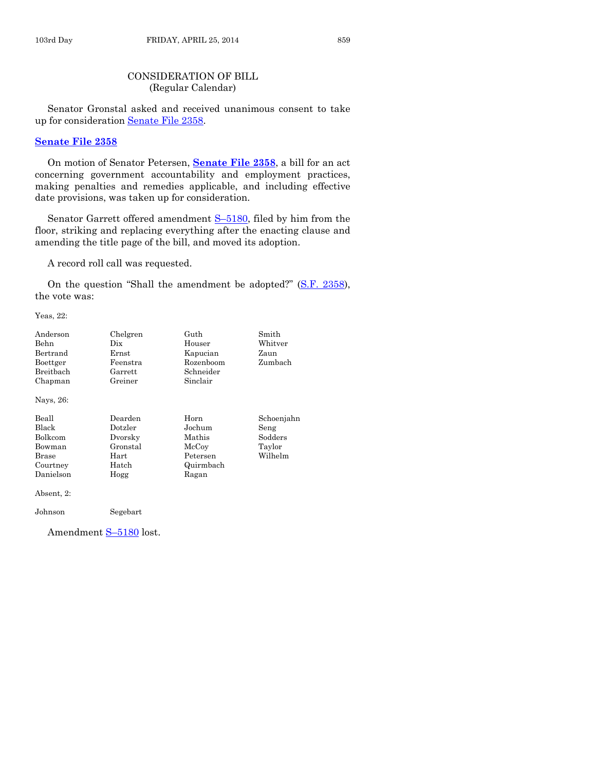# CONSIDERATION OF BILL (Regular Calendar)

Senator Gronstal asked and received unanimous consent to take up for consideration [Senate File 2358.](http://coolice.legis.iowa.gov/Cool-ICE/default.asp?Category=billinfo&Service=Billbook&frame=1&GA=85&hbill=SF2358)

# **[Senate File 2358](http://coolice.legis.iowa.gov/Cool-ICE/default.asp?Category=billinfo&Service=Billbook&frame=1&GA=85&hbill=SF2358)**

On motion of Senator Petersen, **[Senate File 2358](http://coolice.legis.iowa.gov/Cool-ICE/default.asp?Category=billinfo&Service=Billbook&frame=1&GA=85&hbill=SF2358)**, a bill for an act concerning government accountability and employment practices, making penalties and remedies applicable, and including effective date provisions, was taken up for consideration.

Senator Garrett offered amendment **S-5180**, filed by him from the floor, striking and replacing everything after the enacting clause and amending the title page of the bill, and moved its adoption.

A record roll call was requested.

On the question "Shall the amendment be adopted?" [\(S.F. 2358\)](http://coolice.legis.iowa.gov/Cool-ICE/default.asp?Category=billinfo&Service=Billbook&frame=1&GA=85&hbill=SF2358), the vote was:

Yeas, 22:

| Anderson<br>Behn<br>Bertrand<br>Boettger<br>Breitbach<br>Chapman<br>Nays, 26: | Chelgren<br>Dix<br>Ernst<br>Feenstra<br>Garrett<br>Greiner         | Guth<br>Houser<br>Kapucian<br>Rozenboom<br>Schneider<br>Sinclair    | Smith<br>Whitver<br>Zaun<br>Zumbach                |
|-------------------------------------------------------------------------------|--------------------------------------------------------------------|---------------------------------------------------------------------|----------------------------------------------------|
| Beall<br>Black<br>Bolkcom<br>Bowman<br><b>Brase</b><br>Courtney<br>Danielson  | Dearden<br>Dotzler<br>Dvorsky<br>Gronstal<br>Hart<br>Hatch<br>Hogg | Horn<br>Jochum<br>Mathis<br>McCoy<br>Petersen<br>Quirmbach<br>Ragan | Schoenjahn<br>Seng<br>Sodders<br>Taylor<br>Wilhelm |
| Absent, 2:<br>Johnson                                                         | Segebart                                                           |                                                                     |                                                    |

Amendment S–[5180](http://coolice.legis.iowa.gov/Cool-ICE/default.asp?Category=billinfo&Service=Billbook&frame=1&GA=85&hbill=S5180) lost.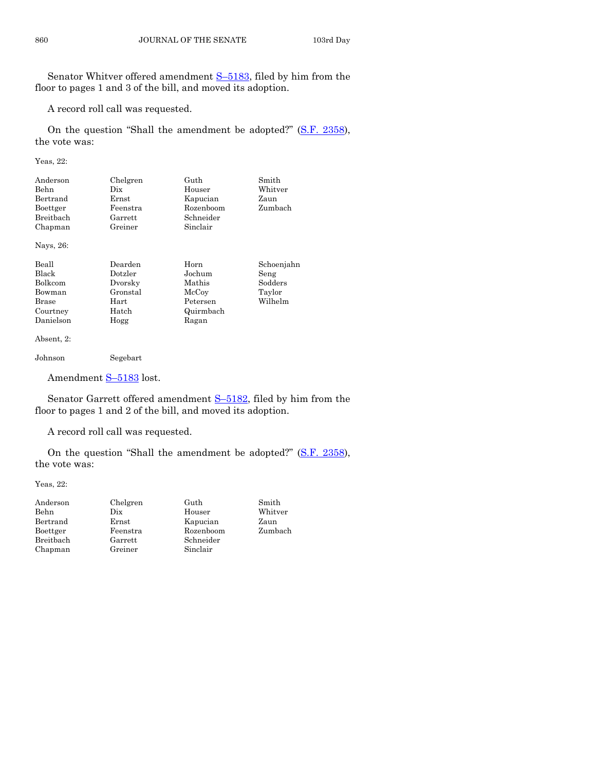Senator Whitver offered amendment S–[5183,](http://coolice.legis.iowa.gov/Cool-ICE/default.asp?Category=billinfo&Service=Billbook&frame=1&GA=85&hbill=S5183) filed by him from the floor to pages 1 and 3 of the bill, and moved its adoption.

A record roll call was requested.

On the question "Shall the amendment be adopted?" [\(S.F. 2358\)](http://coolice.legis.iowa.gov/Cool-ICE/default.asp?Category=billinfo&Service=Billbook&frame=1&GA=85&hbill=SF2358), the vote was:

Yeas, 22:

| Anderson        | Chelgren       | Guth           | Smith       |
|-----------------|----------------|----------------|-------------|
|                 |                |                |             |
| Behn            | Dix            | Houser         | Whitver     |
| Bertrand        | $\rm Ernst$    | Kapucian       | Zaun        |
| Boettger        | Feenstra       | Rozenboom      | Zumbach     |
| Breitbach       | Garrett        | Schneider      |             |
| Chapman         | Greiner        | Sinclair       |             |
| Nays, 26:       |                |                |             |
| Beall           | Dearden        | Horn           | Schoenjahn  |
| Black           | Dotzler        | Jochum         | Seng        |
| $\mathbf{D}$ 11 | $\mathbf{D}$ 1 | <b>BE</b> 11 . | $\alpha$ 11 |

| Bolkcom    | Dvorsky    | Mathis    | Sodders |
|------------|------------|-----------|---------|
| Bowman     | Gronstal   | McCoy     | Taylor  |
| Brase      | $\rm Hart$ | Petersen  | Wilhelm |
| Courtney   | Hatch      | Quirmbach |         |
| Danielson  | Hogg       | Ragan     |         |
| Absent, 2: |            |           |         |
| Johnson    | Segebart   |           |         |

Amendment S-[5183](http://coolice.legis.iowa.gov/Cool-ICE/default.asp?Category=billinfo&Service=Billbook&frame=1&GA=85&hbill=S5183) lost.

Senator Garrett offered amendment S-[5182,](http://coolice.legis.iowa.gov/Cool-ICE/default.asp?Category=billinfo&Service=Billbook&frame=1&GA=85&hbill=S5182) filed by him from the floor to pages 1 and 2 of the bill, and moved its adoption.

A record roll call was requested.

On the question "Shall the amendment be adopted?" [\(S.F. 2358\)](http://coolice.legis.iowa.gov/Cool-ICE/default.asp?Category=billinfo&Service=Billbook&frame=1&GA=85&hbill=SF2358), the vote was:

Yeas, 22:

| Anderson  | Chelgren | Guth      | Smith   |
|-----------|----------|-----------|---------|
| Behn      | Dix      | Houser    | Whitver |
| Bertrand  | Ernst    | Kapucian  | Zaun    |
| Boettger  | Feenstra | Rozenboom | Zumbach |
| Breitbach | Garrett  | Schneider |         |
| Chapman   | Greiner  | Sinclair  |         |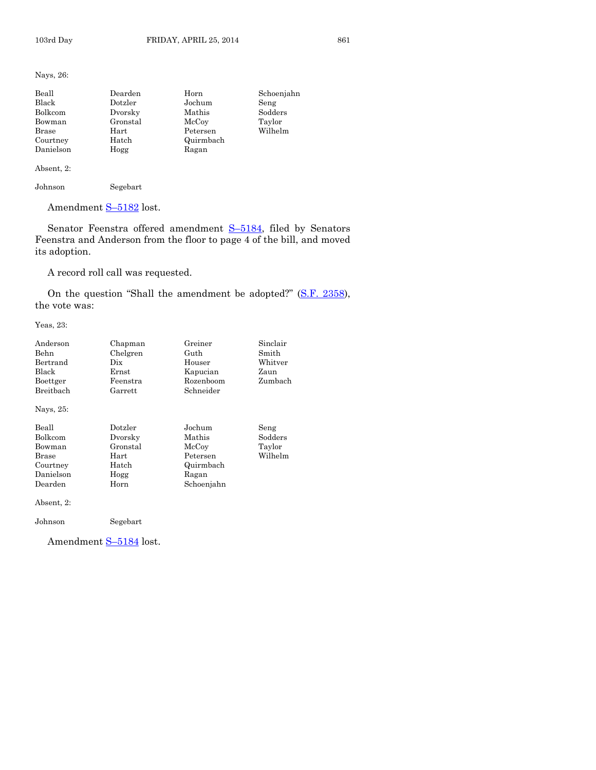Nays, 26:

| Beall     | Dearden  | Horn      | Schoenjahn |
|-----------|----------|-----------|------------|
| Black     | Dotzler  | Jochum    | Seng       |
| Bolkcom   | Dvorsky  | Mathis    | Sodders    |
| Bowman    | Gronstal | McCoy     | Taylor     |
| Brase     | Hart     | Petersen  | Wilhelm    |
| Courtney  | Hatch    | Quirmbach |            |
| Danielson | Hogg     | Ragan     |            |

Absent, 2:

Johnson Segebart

Amendment S-[5182](http://coolice.legis.iowa.gov/Cool-ICE/default.asp?Category=billinfo&Service=Billbook&frame=1&GA=85&hbill=S5182) lost.

Senator Feenstra offered amendment S-[5184,](http://coolice.legis.iowa.gov/Cool-ICE/default.asp?Category=billinfo&Service=Billbook&frame=1&GA=85&hbill=S5184) filed by Senators Feenstra and Anderson from the floor to page 4 of the bill, and moved its adoption.

A record roll call was requested.

On the question "Shall the amendment be adopted?" [\(S.F. 2358\)](http://coolice.legis.iowa.gov/Cool-ICE/default.asp?Category=billinfo&Service=Billbook&frame=1&GA=85&hbill=SF2358), the vote was:

Yeas, 23:

| Anderson<br>Behn<br>Bertrand<br>Black<br>Boettger<br>Breitbach          | Chapman<br>Chelgren<br>Dix<br>Ernst<br>Feenstra<br>Garrett      | Greiner<br>Guth<br>Houser<br>Kapucian<br>Rozenboom<br>Schneider           | Sinclair<br>Smith<br>Whitver<br>Zaun<br>Zumbach |
|-------------------------------------------------------------------------|-----------------------------------------------------------------|---------------------------------------------------------------------------|-------------------------------------------------|
| Nays, 25:                                                               |                                                                 |                                                                           |                                                 |
| Beall<br>Bolkcom<br>Bowman<br>Brase<br>Courtney<br>Danielson<br>Dearden | Dotzler<br>Dvorsky<br>Gronstal<br>Hart<br>Hatch<br>Hogg<br>Horn | Jochum<br>Mathis<br>McCoy<br>Petersen<br>Quirmbach<br>Ragan<br>Schoenjahn | Seng<br>Sodders<br>Taylor<br>Wilhelm            |
| Absent, 2:                                                              |                                                                 |                                                                           |                                                 |
| Johnson                                                                 | Segebart                                                        |                                                                           |                                                 |

Amendment S-[5184](http://coolice.legis.iowa.gov/Cool-ICE/default.asp?Category=billinfo&Service=Billbook&frame=1&GA=85&hbill=S5184) lost.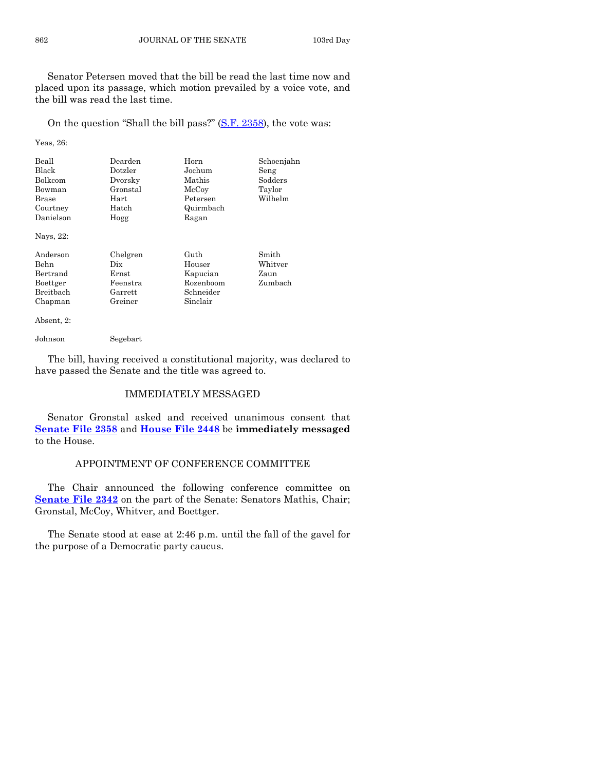Senator Petersen moved that the bill be read the last time now and placed upon its passage, which motion prevailed by a voice vote, and the bill was read the last time.

On the question "Shall the bill pass?" [\(S.F. 2358\)](http://coolice.legis.iowa.gov/Cool-ICE/default.asp?Category=billinfo&Service=Billbook&frame=1&GA=85&hbill=SF2358), the vote was:

Yeas, 26:

| Beall<br>Black<br><b>Bolkcom</b><br>Bowman<br>Brase<br>Courtney<br>Danielson<br>Nays, 22: | Dearden<br>Dotzler<br>Dvorsky<br>Gronstal<br>Hart<br>Hatch<br>Hogg | Horn<br>Jochum<br>Mathis<br>McCoy<br>Petersen<br>Quirmbach<br>Ragan | Schoenjahn<br>Seng<br>Sodders<br>Taylor<br>Wilhelm |
|-------------------------------------------------------------------------------------------|--------------------------------------------------------------------|---------------------------------------------------------------------|----------------------------------------------------|
| Anderson<br>Behn<br>Bertrand<br>Boettger<br><b>Breithach</b><br>Chapman                   | Chelgren<br>Dix<br>Ernst<br>Feenstra<br>Garrett<br>Greiner         | Guth<br>Houser<br>Kapucian<br>Rozenboom<br>Schneider<br>Sinclair    | Smith<br>Whitver<br>Zaun<br>Zumbach                |

Absent, 2:

Johnson Segebart

The bill, having received a constitutional majority, was declared to have passed the Senate and the title was agreed to.

# IMMEDIATELY MESSAGED

Senator Gronstal asked and received unanimous consent that **[Senate File 2358](http://coolice.legis.iowa.gov/Cool-ICE/default.asp?Category=billinfo&Service=Billbook&frame=1&GA=85&hbill=SF2358)** and **[House File 2448](http://coolice.legis.iowa.gov/Cool-ICE/default.asp?Category=billinfo&Service=Billbook&frame=1&GA=85&hbill=HF2448)** be **immediately messaged** to the House.

## APPOINTMENT OF CONFERENCE COMMITTEE

The Chair announced the following conference committee on **[Senate File 2342](http://coolice.legis.iowa.gov/Cool-ICE/default.asp?Category=billinfo&Service=Billbook&frame=1&GA=85&hbill=SF2342)** on the part of the Senate: Senators Mathis, Chair; Gronstal, McCoy, Whitver, and Boettger.

The Senate stood at ease at 2:46 p.m. until the fall of the gavel for the purpose of a Democratic party caucus.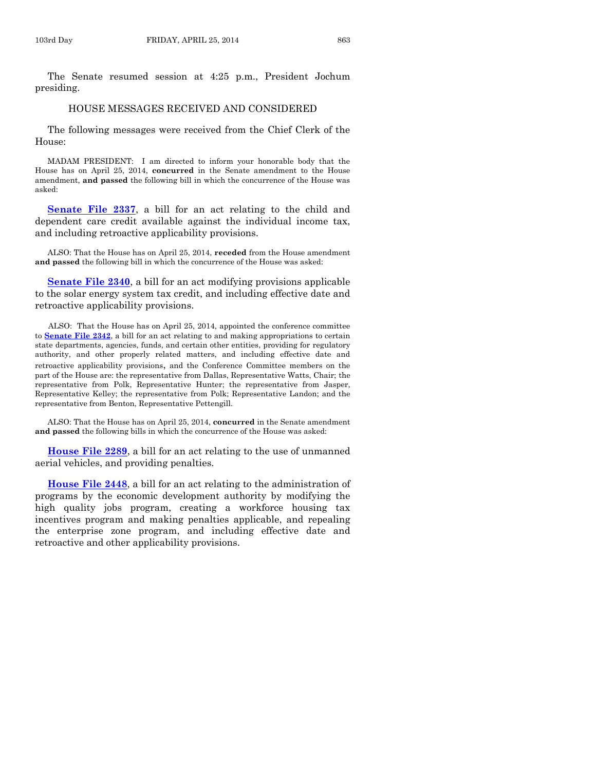The Senate resumed session at 4:25 p.m., President Jochum presiding.

#### HOUSE MESSAGES RECEIVED AND CONSIDERED

The following messages were received from the Chief Clerk of the House:

MADAM PRESIDENT: I am directed to inform your honorable body that the House has on April 25, 2014, **concurred** in the Senate amendment to the House amendment, **and passed** the following bill in which the concurrence of the House was asked:

**[Senate File 2337](http://coolice.legis.iowa.gov/Cool-ICE/default.asp?Category=billinfo&Service=Billbook&frame=1&GA=85&hbill=SF2337)**, a bill for an act relating to the child and dependent care credit available against the individual income tax, and including retroactive applicability provisions.

ALSO: That the House has on April 25, 2014, **receded** from the House amendment **and passed** the following bill in which the concurrence of the House was asked:

**[Senate File 2340](http://coolice.legis.iowa.gov/Cool-ICE/default.asp?Category=billinfo&Service=Billbook&frame=1&GA=85&hbill=SF2340)**, a bill for an act modifying provisions applicable to the solar energy system tax credit, and including effective date and retroactive applicability provisions.

ALSO: That the House has on April 25, 2014, appointed the conference committee to **[Senate File 2342](http://coolice.legis.iowa.gov/Cool-ICE/default.asp?Category=billinfo&Service=Billbook&frame=1&GA=85&hbill=SF2342)**, a bill for an act relating to and making appropriations to certain state departments, agencies, funds, and certain other entities, providing for regulatory authority, and other properly related matters, and including effective date and retroactive applicability provisions, and the Conference Committee members on the part of the House are: the representative from Dallas, Representative Watts, Chair; the representative from Polk, Representative Hunter; the representative from Jasper, Representative Kelley; the representative from Polk; Representative Landon; and the representative from Benton, Representative Pettengill.

ALSO: That the House has on April 25, 2014, **concurred** in the Senate amendment **and passed** the following bills in which the concurrence of the House was asked:

**[House File 2289](http://coolice.legis.iowa.gov/Cool-ICE/default.asp?Category=billinfo&Service=Billbook&frame=1&GA=85&hbill=HF2289)**, a bill for an act relating to the use of unmanned aerial vehicles, and providing penalties.

**[House File 2448](http://coolice.legis.iowa.gov/Cool-ICE/default.asp?Category=billinfo&Service=Billbook&frame=1&GA=85&hbill=HF2448)**, a bill for an act relating to the administration of programs by the economic development authority by modifying the high quality jobs program, creating a workforce housing tax incentives program and making penalties applicable, and repealing the enterprise zone program, and including effective date and retroactive and other applicability provisions.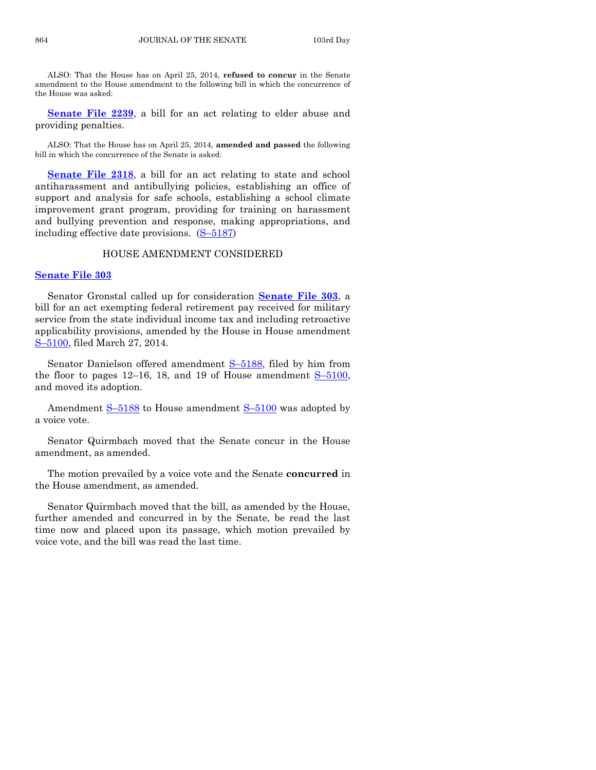ALSO: That the House has on April 25, 2014, **refused to concur** in the Senate amendment to the House amendment to the following bill in which the concurrence of the House was asked:

**[Senate File 2239](http://coolice.legis.iowa.gov/Cool-ICE/default.asp?Category=billinfo&Service=Billbook&frame=1&GA=85&hbill=SF2239)**, a bill for an act relating to elder abuse and providing penalties.

ALSO: That the House has on April 25, 2014, **amended and passed** the following bill in which the concurrence of the Senate is asked:

**[Senate File 2318](http://coolice.legis.iowa.gov/Cool-ICE/default.asp?Category=billinfo&Service=Billbook&frame=1&GA=85&hbill=SF2318)**, a bill for an act relating to state and school antiharassment and antibullying policies, establishing an office of support and analysis for safe schools, establishing a school climate improvement grant program, providing for training on harassment and bullying prevention and response, making appropriations, and including effective date provisions. (S–[5187\)](http://coolice.legis.iowa.gov/Cool-ICE/default.asp?Category=billinfo&Service=Billbook&frame=1&GA=85&hbill=S5187)

#### HOUSE AMENDMENT CONSIDERED

#### **[Senate File 303](http://coolice.legis.iowa.gov/Cool-ICE/default.asp?Category=billinfo&Service=Billbook&frame=1&GA=85&hbill=SF303)**

Senator Gronstal called up for consideration **[Senate File 303](http://coolice.legis.iowa.gov/Cool-ICE/default.asp?Category=billinfo&Service=Billbook&frame=1&GA=85&hbill=SF303)**, a bill for an act exempting federal retirement pay received for military service from the state individual income tax and including retroactive applicability provisions, amended by the House in House amendment S–[5100,](http://coolice.legis.iowa.gov/Cool-ICE/default.asp?Category=billinfo&Service=Billbook&frame=1&GA=85&hbill=S5100) filed March 27, 2014.

Senator Danielson offered amendment S-[5188,](http://coolice.legis.iowa.gov/Cool-ICE/default.asp?Category=billinfo&Service=Billbook&frame=1&GA=85&hbill=S5188) filed by him from the floor to pages  $12-16$ , 18, and 19 of House amendment  $S-5100$ , and moved its adoption.

Amendment S–[5188](http://coolice.legis.iowa.gov/Cool-ICE/default.asp?Category=billinfo&Service=Billbook&frame=1&GA=85&hbill=S5188) to House amendment S–[5100](http://coolice.legis.iowa.gov/Cool-ICE/default.asp?Category=billinfo&Service=Billbook&frame=1&GA=85&hbill=S5100) was adopted by a voice vote.

Senator Quirmbach moved that the Senate concur in the House amendment, as amended.

The motion prevailed by a voice vote and the Senate **concurred** in the House amendment, as amended.

Senator Quirmbach moved that the bill, as amended by the House, further amended and concurred in by the Senate, be read the last time now and placed upon its passage, which motion prevailed by voice vote, and the bill was read the last time.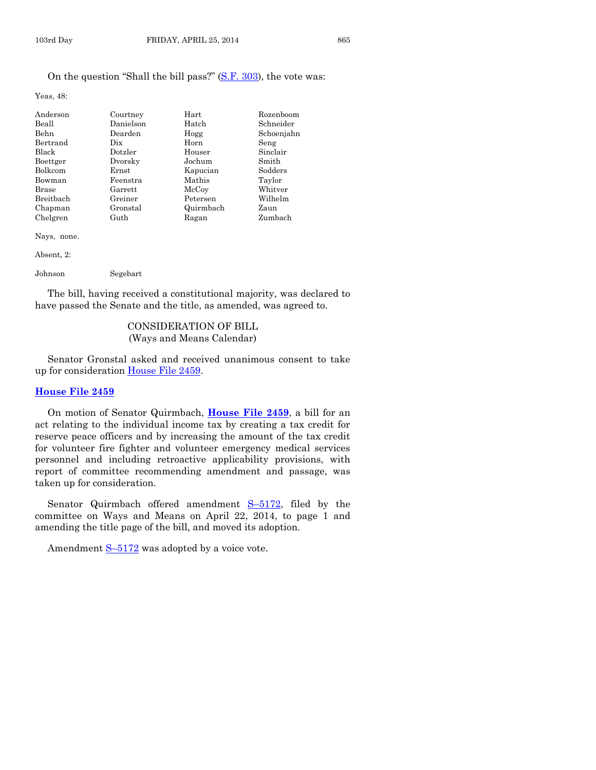Yeas, 48:

| Anderson     | Courtney  | Hart      | Rozenboom  |
|--------------|-----------|-----------|------------|
| Beall        | Danielson | Hatch     | Schneider  |
| Behn         | Dearden   | Hogg      | Schoenjahn |
| Bertrand     | Dix       | Horn      | Seng       |
| <b>Black</b> | Dotzler   | Houser    | Sinclair   |
| Boettger     | Dvorsky   | Jochum    | Smith      |
| Bolkcom      | Ernst     | Kapucian  | Sodders    |
| Bowman       | Feenstra  | Mathis    | Taylor     |
| <b>Brase</b> | Garrett   | McCoy     | Whitver    |
| Breitbach    | Greiner   | Petersen  | Wilhelm    |
| Chapman      | Gronstal  | Quirmbach | Zaun       |
| Chelgren     | Guth      | Ragan     | Zumbach    |

Nays, none.

Absent, 2:

Johnson Segebart

The bill, having received a constitutional majority, was declared to have passed the Senate and the title, as amended, was agreed to.

# CONSIDERATION OF BILL (Ways and Means Calendar)

Senator Gronstal asked and received unanimous consent to take up for consideration [House File 2459.](http://coolice.legis.iowa.gov/Cool-ICE/default.asp?Category=billinfo&Service=Billbook&frame=1&GA=85&hbill=HF2459)

#### **[House File 2459](http://coolice.legis.iowa.gov/Cool-ICE/default.asp?Category=billinfo&Service=Billbook&frame=1&GA=85&hbill=HF2459)**

On motion of Senator Quirmbach, **[House File 2459](http://coolice.legis.iowa.gov/Cool-ICE/default.asp?Category=billinfo&Service=Billbook&frame=1&GA=85&hbill=HF2459)**, a bill for an act relating to the individual income tax by creating a tax credit for reserve peace officers and by increasing the amount of the tax credit for volunteer fire fighter and volunteer emergency medical services personnel and including retroactive applicability provisions, with report of committee recommending amendment and passage, was taken up for consideration.

Senator Quirmbach offered amendment S-[5172,](http://coolice.legis.iowa.gov/Cool-ICE/default.asp?Category=billinfo&Service=Billbook&frame=1&GA=85&hbill=S5172) filed by the committee on Ways and Means on April 22, 2014, to page 1 and amending the title page of the bill, and moved its adoption.

Amendment  $S$ -[5172](http://coolice.legis.iowa.gov/Cool-ICE/default.asp?Category=billinfo&Service=Billbook&frame=1&GA=85&hbill=S5172) was adopted by a voice vote.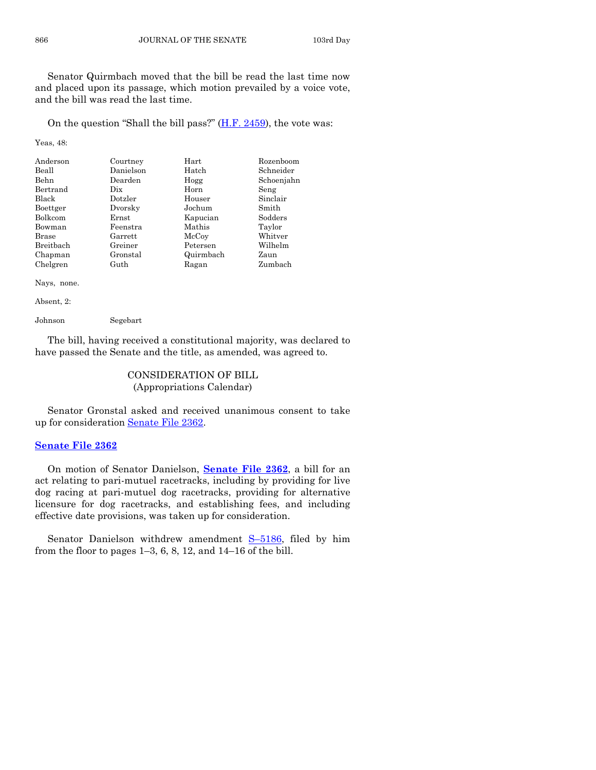Senator Quirmbach moved that the bill be read the last time now and placed upon its passage, which motion prevailed by a voice vote, and the bill was read the last time.

On the question "Shall the bill pass?" [\(H.F. 2459\)](http://coolice.legis.iowa.gov/Cool-ICE/default.asp?Category=billinfo&Service=Billbook&frame=1&GA=85&hbill=HF2459), the vote was:

#### Yeas, 48:

| Anderson         | Courtney  | Hart      | Rozenboom  |
|------------------|-----------|-----------|------------|
| Beall            | Danielson | Hatch     | Schneider  |
| <b>Behn</b>      | Dearden   | Hogg      | Schoenjahn |
| Bertrand         | Dix       | Horn      | Seng       |
| <b>Black</b>     | Dotzler   | Houser    | Sinclair   |
| Boettger         | Dvorsky   | Jochum    | Smith      |
| Bolkcom          | Ernst     | Kapucian  | Sodders    |
| Bowman           | Feenstra  | Mathis    | Taylor     |
| Brase            | Garrett   | McCoy     | Whitver    |
| <b>Breithach</b> | Greiner   | Petersen  | Wilhelm    |
| Chapman          | Gronstal  | Quirmbach | Zaun       |
| Chelgren         | Guth      | Ragan     | Zumbach    |

Nays, none.

Absent, 2:

Johnson Segebart

The bill, having received a constitutional majority, was declared to have passed the Senate and the title, as amended, was agreed to.

# CONSIDERATION OF BILL (Appropriations Calendar)

Senator Gronstal asked and received unanimous consent to take up for consideration [Senate File 2362.](http://coolice.legis.iowa.gov/Cool-ICE/default.asp?Category=billinfo&Service=Billbook&frame=1&GA=85&hbill=SF2362)

# **[Senate File 2362](http://coolice.legis.iowa.gov/Cool-ICE/default.asp?Category=billinfo&Service=Billbook&frame=1&GA=85&hbill=SF2362)**

On motion of Senator Danielson, **[Senate File](http://coolice.legis.iowa.gov/Cool-ICE/default.asp?Category=billinfo&Service=Billbook&frame=1&GA=85&hbill=SF2362) 2362**, a bill for an act relating to pari-mutuel racetracks, including by providing for live dog racing at pari-mutuel dog racetracks, providing for alternative licensure for dog racetracks, and establishing fees, and including effective date provisions, was taken up for consideration.

Senator Danielson withdrew amendment S-[5186,](http://coolice.legis.iowa.gov/Cool-ICE/default.asp?Category=billinfo&Service=Billbook&frame=1&GA=85&hbill=S5186) filed by him from the floor to pages 1–3, 6, 8, 12, and 14–16 of the bill.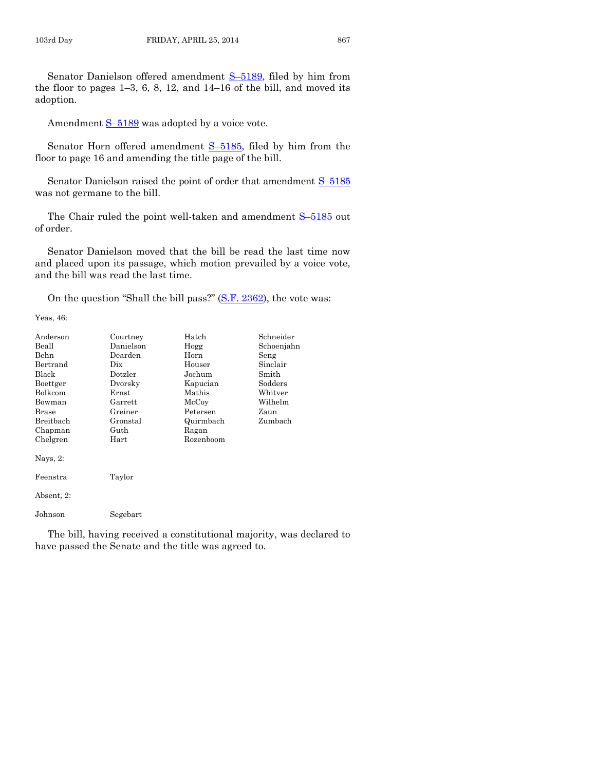Amendment  $S-5189$  $S-5189$  was adopted by a voice vote.

Senator Horn offered amendment  $S-5185$ , filed by him from the floor to page 16 and amending the title page of the bill.

Senator Danielson raised the point of order that amendment  $S-5185$  $S-5185$ was not germane to the bill.

The Chair ruled the point well-taken and amendment  $S-5185$  $S-5185$  out of order.

Senator Danielson moved that the bill be read the last time now and placed upon its passage, which motion prevailed by a voice vote, and the bill was read the last time.

On the question "Shall the bill pass?" [\(S.F. 2362\)](http://coolice.legis.iowa.gov/Cool-ICE/default.asp?Category=billinfo&Service=Billbook&frame=1&GA=85&hbill=SF2362), the vote was:

Yeas, 46:

| Anderson   | Courtney                        | Hatch     | Schneider  |
|------------|---------------------------------|-----------|------------|
| Beall      | Danielson                       | Hogg      | Schoenjahn |
| Behn       | Dearden                         | Horn      | Seng       |
| Bertrand   | $_{\rm \scriptscriptstyle Dix}$ | Houser    | Sinclair   |
| Black      | Dotzler                         | Jochum    | Smith      |
| Boettger   | Dvorsky                         | Kapucian  | Sodders    |
| Bolkcom    | $\rm Ernst$                     | Mathis    | Whitver    |
| Bowman     | Garrett                         | McCoy     | Wilhelm    |
| Brase      | Greiner                         | Petersen  | Zaun       |
| Breitbach  | Gronstal                        | Quirmbach | Zumbach    |
| Chapman    | Guth                            | Ragan     |            |
| Chelgren   | Hart                            | Rozenboom |            |
| Nays, 2:   |                                 |           |            |
| Feenstra   | Taylor                          |           |            |
| Absent, 2: |                                 |           |            |
| Johnson    | Segebart                        |           |            |
|            |                                 |           |            |

The bill, having received a constitutional majority, was declared to have passed the Senate and the title was agreed to.